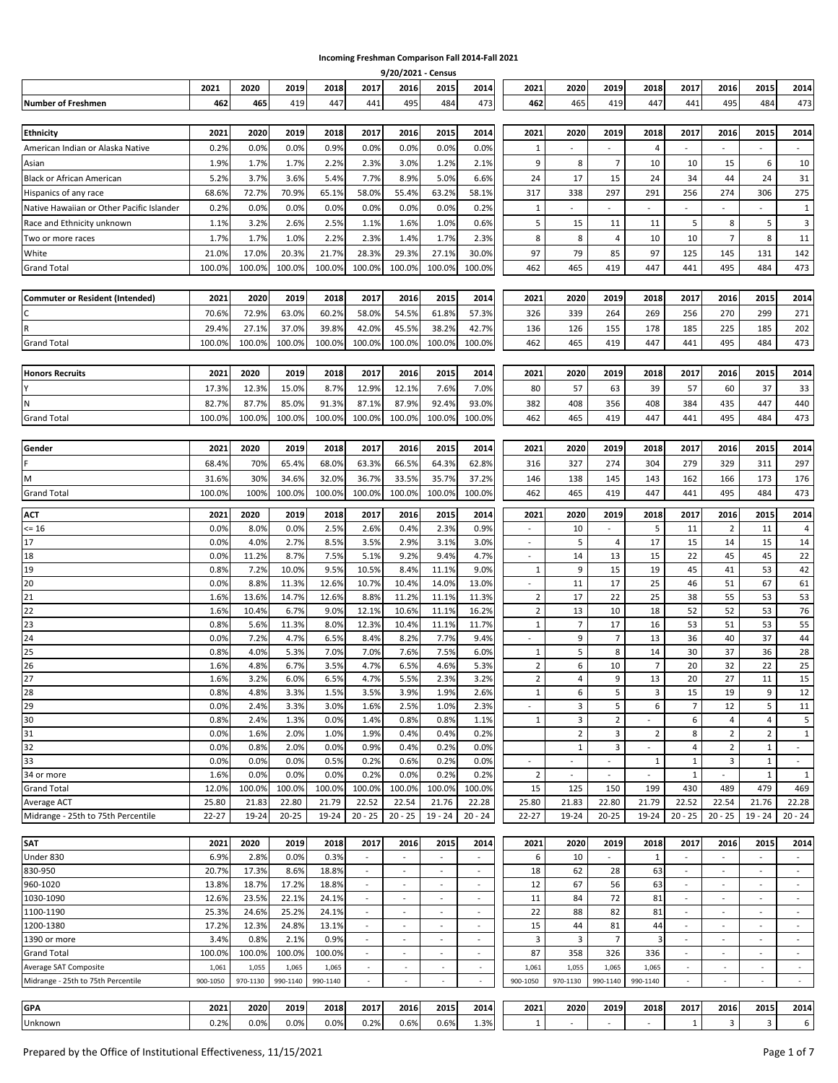## **Incoming Freshman Comparison Fall 2014-Fall 2021**

|                                           |           |          |           |          |                          |                          | 9/20/2021 - Census       |                          |                          |                |                          |                |                             |                          |                          |                          |
|-------------------------------------------|-----------|----------|-----------|----------|--------------------------|--------------------------|--------------------------|--------------------------|--------------------------|----------------|--------------------------|----------------|-----------------------------|--------------------------|--------------------------|--------------------------|
|                                           | 2021      | 2020     | 2019      | 2018     | 2017                     | 2016                     | 2015                     | 2014                     | 2021                     | 2020           | 2019                     | 2018           | 2017                        | 2016                     | 2015                     | 2014                     |
| <b>Number of Freshmen</b>                 | 462       | 465      | 419       | 447      | 441                      | 495                      | 484                      | 473                      | 462                      | 465            | 419                      | 447            | 441                         | 495                      | 484                      | 473                      |
|                                           |           |          |           |          |                          |                          |                          |                          |                          |                |                          |                |                             |                          |                          |                          |
| <b>Ethnicity</b>                          | 2021      | 2020     | 2019      | 2018     | 2017                     | 2016                     | 2015                     | 2014                     | 2021                     | 2020           | 2019                     | 2018           | 2017                        | 2016                     | 2015                     | 2014                     |
|                                           |           |          |           |          |                          |                          |                          |                          |                          |                |                          |                |                             |                          |                          |                          |
| American Indian or Alaska Native          | 0.2%      | 0.0%     | 0.0%      | 0.9%     | 0.0%                     | 0.0%                     | 0.0%                     | 0.0%                     | $\mathbf{1}$             | $\sim$         | $\overline{\phantom{a}}$ | 4              | $\sim$                      | $\overline{a}$           | $\blacksquare$           | $\sim$                   |
| Asian                                     | 1.9%      | 1.7%     | 1.7%      | 2.2%     | 2.3%                     | 3.0%                     | 1.2%                     | 2.1%                     | 9                        | 8              | $\overline{7}$           | 10             | 10                          | 15                       | 6                        | 10                       |
| <b>Black or African American</b>          | 5.2%      | 3.7%     | 3.6%      | 5.4%     | 7.7%                     | 8.9%                     | 5.0%                     | 6.6%                     | 24                       | 17             | 15                       | 24             | 34                          | 44                       | 24                       | 31                       |
| Hispanics of any race                     | 68.6%     | 72.7%    | 70.9%     | 65.1%    | 58.0%                    | 55.4%                    | 63.2%                    | 58.1%                    | 317                      | 338            | 297                      | 291            | 256                         | 274                      | 306                      | 275                      |
| Native Hawaiian or Other Pacific Islander | 0.2%      | 0.0%     | 0.0%      | 0.0%     | 0.0%                     | 0.0%                     | 0.0%                     | 0.2%                     | 1                        | $\sim$         |                          |                |                             |                          |                          | $\mathbf{1}$             |
| Race and Ethnicity unknown                | 1.1%      | 3.2%     | 2.6%      | 2.5%     | 1.1%                     | 1.6%                     | 1.0%                     | 0.6%                     | 5                        | 15             | 11                       | 11             | 5                           | 8                        | 5                        | 3                        |
| Two or more races                         | 1.7%      | 1.7%     | 1.0%      | 2.2%     | 2.3%                     | 1.4%                     | 1.7%                     | 2.3%                     | 8                        | 8              | $\overline{4}$           | 10             | 10                          | $\overline{7}$           | 8                        | 11                       |
| White                                     | 21.0%     | 17.0%    | 20.3%     | 21.7%    | 28.3%                    | 29.3%                    | 27.1%                    | 30.0%                    | 97                       | 79             | 85                       | 97             | 125                         | 145                      | 131                      | 142                      |
| <b>Grand Total</b>                        | 100.0%    | 100.0%   | 100.0%    | 100.0%   | 100.0%                   | 100.0%                   | 100.0%                   | 100.0%                   | 462                      | 465            | 419                      | 447            | 441                         | 495                      | 484                      | 473                      |
|                                           |           |          |           |          |                          |                          |                          |                          |                          |                |                          |                |                             |                          |                          |                          |
|                                           |           |          |           |          |                          |                          |                          |                          |                          |                |                          |                |                             |                          |                          |                          |
| <b>Commuter or Resident (Intended)</b>    | 2021      | 2020     | 2019      | 2018     | 2017                     | 2016                     | 2015                     | 2014                     | 2021                     | 2020           | 2019                     | 2018           | 2017                        | 2016                     | 2015                     | 2014                     |
| C                                         | 70.6%     | 72.9%    | 63.0%     | 60.2%    | 58.0%                    | 54.5%                    | 61.8%                    | 57.3%                    | 326                      | 339            | 264                      | 269            | 256                         | 270                      | 299                      | 271                      |
| $\mathsf{R}$                              | 29.4%     | 27.1%    | 37.0%     | 39.8%    | 42.0%                    | 45.5%                    | 38.2%                    | 42.7%                    | 136                      | 126            | 155                      | 178            | 185                         | 225                      | 185                      | 202                      |
| <b>Grand Total</b>                        | 100.0%    | 100.0%   | 100.0%    | 100.0%   | 100.0%                   | 100.0%                   | 100.0%                   | 100.0%                   | 462                      | 465            | 419                      | 447            | 441                         | 495                      | 484                      | 473                      |
|                                           |           |          |           |          |                          |                          |                          |                          |                          |                |                          |                |                             |                          |                          |                          |
| <b>Honors Recruits</b>                    | 2021      | 2020     | 2019      | 2018     | 2017                     | 2016                     | 2015                     | 2014                     | 2021                     | 2020           | 2019                     | 2018           | 2017                        | 2016                     | 2015                     | 2014                     |
| Y                                         | 17.3%     | 12.3%    | 15.0%     | 8.7%     | 12.9%                    | 12.1%                    | 7.6%                     | 7.0%                     | 80                       | 57             | 63                       | 39             | 57                          | 60                       | 37                       | 33                       |
|                                           |           |          |           |          |                          |                          |                          |                          |                          |                |                          |                |                             |                          |                          |                          |
| ${\sf N}$                                 | 82.7%     | 87.7%    | 85.0%     | 91.3%    | 87.1%                    | 87.9%                    | 92.4%                    | 93.0%                    | 382                      | 408            | 356                      | 408            | 384                         | 435                      | 447                      | 440                      |
| <b>Grand Total</b>                        | 100.0%    | 100.0%   | 100.0%    | 100.0%   | 100.0%                   | 100.0%                   | 100.0%                   | 100.0%                   | 462                      | 465            | 419                      | 447            | 441                         | 495                      | 484                      | 473                      |
|                                           |           |          |           |          |                          |                          |                          |                          |                          |                |                          |                |                             |                          |                          |                          |
| Gender                                    | 2021      | 2020     | 2019      | 2018     | 2017                     | 2016                     | 2015                     | 2014                     | 2021                     | 2020           | 2019                     | 2018           | 2017                        | 2016                     | 2015                     | 2014                     |
| F                                         | 68.4%     | 70%      | 65.4%     | 68.0%    | 63.3%                    | 66.5%                    | 64.3%                    | 62.8%                    | 316                      | 327            | 274                      | 304            | 279                         | 329                      | 311                      | 297                      |
| M                                         | 31.6%     | 30%      | 34.6%     | 32.0%    | 36.7%                    | 33.5%                    | 35.7%                    | 37.2%                    | 146                      | 138            | 145                      | 143            | 162                         | 166                      | 173                      | 176                      |
| <b>Grand Total</b>                        | 100.0%    | 100%     | 100.0%    | 100.0%   | 100.0%                   | 100.0%                   | 100.0%                   | 100.0%                   | 462                      | 465            | 419                      | 447            | 441                         | 495                      | 484                      | 473                      |
|                                           |           |          |           |          |                          |                          |                          |                          |                          |                |                          |                |                             |                          |                          |                          |
| <b>ACT</b>                                | 2021      | 2020     | 2019      | 2018     | 2017                     | 2016                     | 2015                     | 2014                     | 2021                     | 2020           | 2019                     | 2018           | 2017                        | 2016                     | 2015                     | 2014                     |
| $= 16$                                    | 0.0%      | 8.0%     | 0.0%      | 2.5%     | 2.6%                     | 0.4%                     | 2.3%                     | 0.9%                     |                          | 10             |                          | 5              | 11                          | $\overline{2}$           | 11                       | 4                        |
| 17                                        | 0.0%      | 4.0%     | 2.7%      | 8.5%     | 3.5%                     | 2.9%                     | 3.1%                     | 3.0%                     | $\sim$                   | 5              | 4                        | 17             | 15                          | 14                       | 15                       | 14                       |
| 18                                        | 0.0%      | 11.2%    | 8.7%      | 7.5%     | 5.1%                     | 9.2%                     | 9.4%                     | 4.7%                     | $\blacksquare$           | 14             | 13                       | 15             | 22                          | 45                       | 45                       | 22                       |
| 19                                        | 0.8%      | 7.2%     | 10.0%     | 9.5%     | 10.5%                    | 8.4%                     | 11.1%                    | 9.0%                     | 1                        | 9              | 15                       | 19             | 45                          | 41                       | 53                       | 42                       |
| 20                                        | 0.0%      | 8.8%     | 11.3%     | 12.6%    | 10.7%                    | 10.4%                    | 14.0%                    | 13.0%                    | $\sim$                   | 11             | 17                       | 25             | 46                          | 51                       | 67                       | 61                       |
| 21                                        | 1.6%      | 13.6%    | 14.7%     | 12.6%    | 8.8%                     | 11.2%                    | 11.1%                    | 11.3%                    | $\overline{2}$           | 17             | 22                       | 25             | 38                          | 55                       | 53                       | 53                       |
| $\overline{22}$                           | 1.6%      | 10.4%    | 6.7%      | 9.0%     | 12.1%                    | 10.6%                    | 11.1%                    | 16.2%                    | $\overline{2}$           | 13             | 10                       | 18             | 52                          | 52                       | 53                       | 76                       |
| 23                                        | 0.8%      | 5.6%     | 11.3%     | 8.0%     | 12.3%                    | 10.4%                    | 11.1%                    | 11.7%                    | 1                        | $\overline{7}$ | 17                       | 16             | 53                          | 51                       | 53                       | 55                       |
| 24                                        | 0.0%      | 7.2%     | 4.7%      | 6.5%     | 8.4%                     | 8.2%                     | 7.7%                     | 9.4%                     |                          | 9              | $\overline{7}$           | 13             | 36                          | 40                       | 37                       | 44                       |
| 25                                        | 0.8%      | 4.0%     | 5.3%      | 7.0%     | 7.0%                     | 7.6%                     | 7.5%                     | 6.0%                     | $\mathbf{1}$             | 5              | 8                        | 14             | 30                          | 37                       | 36                       | 28                       |
| 26                                        | 1.6%      | 4.8%     | 6.7%      | 3.5%     | 4.7%                     | 6.5%                     | 4.6%                     | 5.3%                     | $\overline{2}$           | 6              | 10                       | $\overline{7}$ | 20                          | 32                       | 22                       | 25                       |
| 27                                        | 1.6%      | 3.2%     | 6.0%      | 6.5%     | 4.7%                     | 5.5%                     | 2.3%                     | 3.2%                     | $\overline{2}$           | $\overline{4}$ | 9                        | 13             | 20                          | 27                       | 11                       | 15                       |
| 28                                        | 0.8%      | 4.8%     | 3.3%      | 1.5%     | 3.5%                     | 3.9%                     | 1.9%                     | 2.6%                     | $\mathbf{1}$             | 6              | 5                        | 3              | 15                          | 19                       | 9                        | 12                       |
| 29                                        | 0.0%      | 2.4%     | 3.3%      | 3.0%     | 1.6%                     | 2.5%                     | 1.0%                     | 2.3%                     | $\overline{\phantom{a}}$ | 3              | 5                        | 6              | $\overline{7}$              | 12                       | 5                        | 11                       |
| $\frac{30}{31}$                           | 0.8%      | 2.4%     | 1.3%      | 0.0%     | 1.4%                     | 0.8%                     | 0.8%                     | 1.1%                     | $\mathbf{1}$             | 3              | $\overline{2}$           |                | 6                           | 4                        | 4                        | 5                        |
|                                           | 0.0%      | 1.6%     | 2.0%      | 1.0%     | 1.9%                     | 0.4%                     | 0.4%                     | 0.2%                     |                          | $\overline{2}$ | 3                        | $\overline{2}$ | 8                           | $\overline{2}$           | $\overline{2}$           | $\mathbf{1}$             |
| 32                                        | 0.0%      | 0.8%     | 2.0%      | 0.0%     | 0.9%                     | 0.4%                     | 0.2%                     | 0.0%                     |                          | $\mathbf{1}$   | 3                        | $\blacksquare$ | 4                           | $\overline{2}$           | $\mathbf{1}$             | $\sim$                   |
| 33                                        | 0.0%      | 0.0%     | 0.0%      | 0.5%     | 0.2%                     | 0.6%                     | 0.2%                     | 0.0%                     | $\overline{\phantom{a}}$ | $\sim$         | $\overline{\phantom{a}}$ | $\mathbf{1}$   | 1                           | 3                        | 1                        | $\sim$                   |
| 34 or more                                | 1.6%      | 0.0%     | 0.0%      | 0.0%     | 0.2%                     | 0.0%                     | 0.2%                     | 0.2%                     | $\overline{2}$           | $\sim$         |                          | $\sim$         | $\mathbf{1}$                | $\overline{\phantom{a}}$ | $1\,$                    | $\mathbf{1}$             |
| <b>Grand Total</b>                        | 12.0%     | 100.0%   | 100.0%    | 100.0%   | 100.0%                   | 100.0%                   | 100.0%                   | 100.0%                   | 15                       | 125            | 150                      | 199            | 430                         | 489                      | 479                      | 469                      |
| Average ACT                               | 25.80     | 21.83    | 22.80     | 21.79    | 22.52                    | 22.54                    | 21.76                    | 22.28                    | 25.80                    | 21.83          | 22.80                    | 21.79          | 22.52                       | 22.54                    | 21.76                    | 22.28                    |
| Midrange - 25th to 75th Percentile        | $22 - 27$ | 19-24    | $20 - 25$ | 19-24    | $20 - 25$                | $20 - 25$                | $19 - 24$                | $20 - 24$                | $22 - 27$                | 19-24          | $20 - 25$                | 19-24          | $20 - 25$                   | $20 - 25$                | $19 - 24$                | $20 - 24$                |
|                                           |           |          |           |          |                          |                          |                          |                          |                          |                |                          |                |                             |                          |                          |                          |
| <b>SAT</b>                                | 2021      | 2020     | 2019      | 2018     | 2017                     | 2016                     | 2015                     | 2014                     | 2021                     | 2020           | 2019                     | 2018           | 2017                        | 2016                     | 2015                     | 2014                     |
| Under 830                                 | 6.9%      | 2.8%     | 0.0%      | 0.3%     | $\overline{\phantom{a}}$ | $\overline{\phantom{a}}$ |                          | $\overline{\phantom{a}}$ | 6                        | 10             |                          | $\mathbf{1}$   | $\overline{\phantom{a}}$    | $\overline{\phantom{a}}$ |                          | $\sim$                   |
| 830-950                                   | 20.7%     | 17.3%    | 8.6%      | 18.8%    | $\overline{\phantom{a}}$ | ÷.                       | $\overline{\phantom{a}}$ | $\overline{\phantom{a}}$ | 18                       | 62             | 28                       | 63             | $\mathcal{L}_{\mathcal{A}}$ | $\overline{\phantom{a}}$ | $\overline{\phantom{a}}$ | $\sim$                   |
| 960-1020                                  | 13.8%     | 18.7%    | 17.2%     | 18.8%    | $\overline{\phantom{a}}$ | $\overline{\phantom{a}}$ | $\overline{\phantom{a}}$ | $\overline{\phantom{a}}$ | 12                       | 67             | 56                       | 63             | $\blacksquare$              | $\sim$                   | $\overline{\phantom{a}}$ | $\sim$                   |
| 1030-1090                                 | 12.6%     | 23.5%    | 22.1%     | 24.1%    | $\sim$                   | $\overline{\phantom{a}}$ | $\overline{\phantom{a}}$ | $\sim$                   | 11                       | 84             | 72                       | 81             | $\sim$                      | $\overline{\phantom{a}}$ | $\overline{\phantom{a}}$ | $\sim$                   |
| 1100-1190                                 | 25.3%     | 24.6%    | 25.2%     | 24.1%    | $\sim$                   | $\overline{\phantom{a}}$ | $\overline{\phantom{a}}$ | $\overline{\phantom{a}}$ | 22                       | 88             | 82                       | 81             | $\sim$                      | $\overline{\phantom{a}}$ | $\overline{\phantom{a}}$ | $\sim$                   |
| 1200-1380                                 | 17.2%     | 12.3%    | 24.8%     | 13.1%    | $\overline{\phantom{a}}$ | $\blacksquare$           | $\overline{\phantom{a}}$ | $\overline{\phantom{a}}$ | 15                       | 44             | 81                       | 44             | $\overline{\phantom{a}}$    | $\overline{\phantom{a}}$ | $\overline{\phantom{a}}$ | $\overline{\phantom{a}}$ |
| 1390 or more                              | 3.4%      | 0.8%     | 2.1%      | 0.9%     | $\sim$                   | $\overline{\phantom{a}}$ | $\overline{\phantom{a}}$ | $\sim$                   | 3                        | 3              | $\overline{7}$           | 3              | $\sim$                      | $\overline{\phantom{a}}$ | $\overline{\phantom{a}}$ | $\sim$                   |
| <b>Grand Total</b>                        | 100.0%    | 100.0%   | 100.0%    | 100.0%   | $\sim$                   | ÷.                       | $\overline{\phantom{a}}$ | $\overline{\phantom{a}}$ | 87                       | 358            | 326                      | 336            | $\sim$                      | $\overline{\phantom{a}}$ | $\overline{\phantom{a}}$ | $\overline{\phantom{a}}$ |
|                                           |           |          |           |          |                          |                          |                          |                          |                          |                |                          |                |                             |                          |                          |                          |
| Average SAT Composite                     | 1,061     | 1,055    | 1,065     | 1,065    | $\overline{\phantom{a}}$ | $\overline{\phantom{a}}$ | $\overline{\phantom{a}}$ | $\sim$                   | 1,061                    | 1,055          | 1,065                    | 1,065          | $\overline{\phantom{a}}$    | $\overline{\phantom{a}}$ | $\overline{\phantom{a}}$ | $\sim$                   |
| Midrange - 25th to 75th Percentile        | 900-1050  | 970-1130 | 990-1140  | 990-1140 | ٠                        | $\sim$                   | $\overline{\phantom{a}}$ | $\overline{\phantom{a}}$ | 900-1050                 | 970-1130       | 990-1140                 | 990-1140       | $\overline{\phantom{a}}$    | $\sim$                   | $\sim$                   | $\sim$                   |
| <b>GPA</b>                                |           |          | 2019      |          |                          |                          |                          |                          |                          |                |                          |                |                             |                          |                          |                          |
|                                           | 2021      | 2020     |           | 2018     | 2017                     | 2016                     | 2015                     | 2014                     | 2021                     | 2020           | 2019                     | 2018           | 2017                        | 2016                     | 2015                     | 2014                     |

Unknown 0.2% 0.0% 0.0% 0.0% 0.2% 0.6% 0.6% 1.3% 1 - - - 1 3 3 6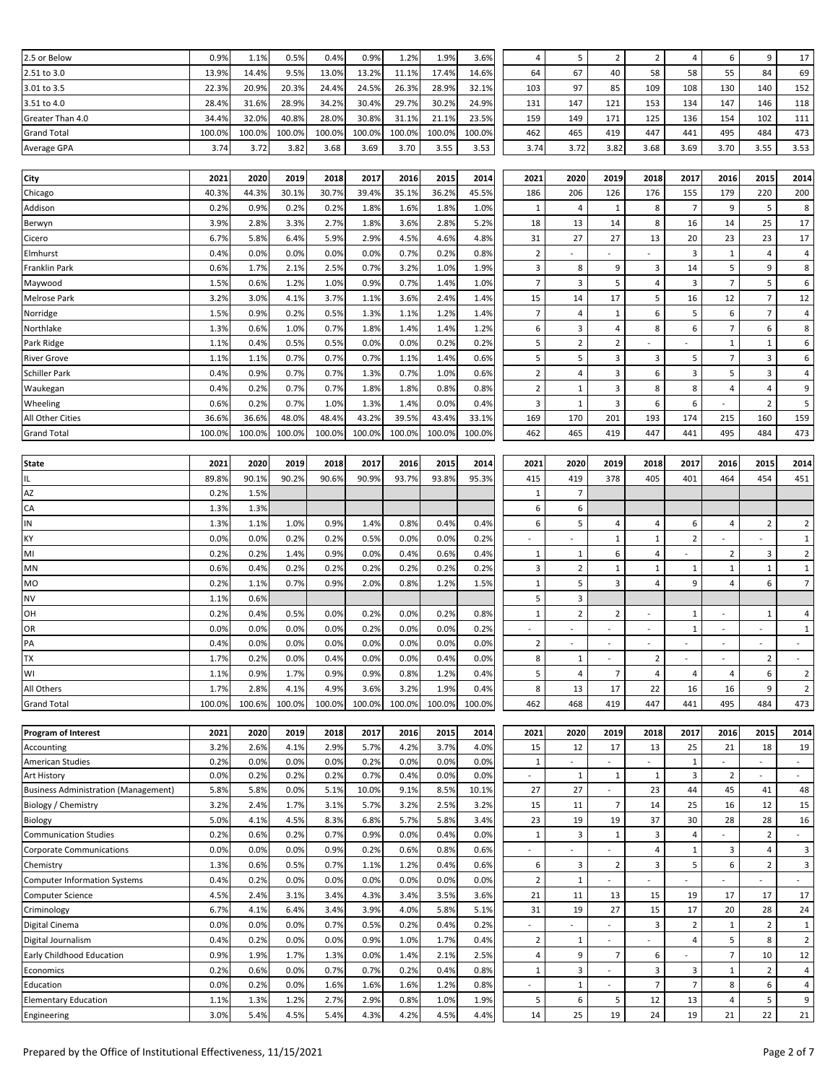| 2.5 or Below                                | 0.9%   | 1.1%   | 0.5%   | 0.4%   | 0.9%   | 1.2%   | 1.9%   | 3.6%   | 4                        | 5                        | $\overline{2}$           | $\mathbf 2$              | $\overline{a}$           | 6                        | 9                        | 17                       |
|---------------------------------------------|--------|--------|--------|--------|--------|--------|--------|--------|--------------------------|--------------------------|--------------------------|--------------------------|--------------------------|--------------------------|--------------------------|--------------------------|
| 2.51 to 3.0                                 | 13.9%  | 14.4%  | 9.5%   | 13.0%  | 13.2%  | 11.1%  | 17.4%  | 14.6%  | 64                       | 67                       | 40                       | 58                       | 58                       | 55                       | 84                       | 69                       |
| 3.01 to 3.5                                 | 22.3%  | 20.9%  | 20.3%  | 24.4%  | 24.5%  | 26.3%  | 28.9%  | 32.1%  | 103                      | 97                       | 85                       | 109                      | 108                      | 130                      | 140                      | 152                      |
| 3.51 to 4.0                                 | 28.4%  | 31.6%  | 28.9%  | 34.2%  | 30.4%  | 29.7%  | 30.2%  | 24.9%  | 131                      | 147                      | 121                      | 153                      | 134                      | 147                      | 146                      | 118                      |
| Greater Than 4.0                            | 34.4%  | 32.0%  | 40.8%  | 28.0%  | 30.8%  | 31.1%  | 21.1%  | 23.5%  | 159                      | 149                      | 171                      | 125                      | 136                      | 154                      | 102                      | 111                      |
| <b>Grand Total</b>                          | 100.0% | 100.0% | 100.0% | 100.0% | 100.0% | 100.0% | 100.0% | 100.0% | 462                      | 465                      | 419                      | 447                      | 441                      | 495                      | 484                      | 473                      |
|                                             |        |        |        |        |        |        |        |        |                          |                          |                          |                          |                          |                          |                          |                          |
| Average GPA                                 | 3.74   | 3.72   | 3.82   | 3.68   | 3.69   | 3.70   | 3.55   | 3.53   | 3.74                     | 3.72                     | 3.82                     | 3.68                     | 3.69                     | 3.70                     | 3.55                     | 3.53                     |
|                                             |        |        |        |        |        |        |        |        |                          |                          |                          |                          |                          |                          |                          |                          |
| City                                        | 2021   | 2020   | 2019   | 2018   | 2017   | 2016   | 2015   | 2014   | 2021                     | 2020                     | 2019                     | 2018                     | 2017                     | 2016                     | 2015                     | 2014                     |
| Chicago                                     | 40.3%  | 44.3%  | 30.1%  | 30.7%  | 39.4%  | 35.1%  | 36.2%  | 45.5%  | 186                      | 206                      | 126                      | 176                      | 155                      | 179                      | 220                      | 200                      |
| Addison                                     | 0.2%   | 0.9%   | 0.2%   | 0.2%   | 1.8%   | 1.6%   | 1.8%   | 1.0%   | 1                        | 4                        | 1                        | 8                        | $\overline{7}$           | 9                        | 5                        | 8                        |
| Berwyn                                      | 3.9%   | 2.8%   | 3.3%   | 2.7%   | 1.8%   | 3.6%   | 2.8%   | 5.2%   | 18                       | 13                       | 14                       | 8                        | 16                       | 14                       | 25                       | 17                       |
| Cicero                                      | 6.7%   | 5.8%   | 6.4%   | 5.9%   | 2.9%   | 4.5%   | 4.6%   | 4.8%   | 31                       | 27                       | 27                       | 13                       | 20                       | 23                       | 23                       | 17                       |
| Elmhurst                                    | 0.4%   | 0.0%   | 0.0%   | 0.0%   | 0.0%   | 0.7%   | 0.2%   | 0.8%   | $\overline{2}$           | $\overline{\phantom{a}}$ |                          |                          | 3                        | $\mathbf 1$              | 4                        | 4                        |
|                                             |        |        |        |        |        |        |        |        |                          |                          |                          |                          |                          | 5                        |                          |                          |
| Franklin Park                               | 0.6%   | 1.7%   | 2.1%   | 2.5%   | 0.7%   | 3.2%   | 1.0%   | 1.9%   | 3                        | 8                        | 9                        | 3                        | 14                       |                          | 9                        | 8                        |
| Maywood                                     | 1.5%   | 0.6%   | 1.2%   | 1.0%   | 0.9%   | 0.7%   | 1.4%   | 1.0%   | $\overline{7}$           | 3                        | 5                        | $\overline{\mathbf{4}}$  | $\overline{3}$           | $\overline{7}$           | 5                        | 6                        |
| Melrose Park                                | 3.2%   | 3.0%   | 4.1%   | 3.7%   | 1.1%   | 3.6%   | 2.4%   | 1.4%   | 15                       | 14                       | 17                       | 5                        | 16                       | 12                       | $\overline{7}$           | 12                       |
| Norridge                                    | 1.5%   | 0.9%   | 0.2%   | 0.5%   | 1.3%   | 1.1%   | 1.2%   | 1.4%   | $\overline{7}$           | 4                        | $\mathbf{1}$             | 6                        | 5                        | 6                        | $\overline{7}$           | $\overline{4}$           |
| Northlake                                   | 1.3%   | 0.6%   | 1.0%   | 0.7%   | 1.8%   | 1.4%   | 1.4%   | 1.2%   | 6                        | 3                        | 4                        | 8                        | 6                        | $\overline{7}$           | 6                        | 8                        |
| Park Ridge                                  | 1.1%   | 0.4%   | 0.5%   | 0.5%   | 0.0%   | 0.0%   | 0.2%   | 0.2%   | 5                        | $\overline{2}$           | $\overline{2}$           |                          |                          | $\mathbf 1$              | $\mathbf{1}$             | 6                        |
| <b>River Grove</b>                          | 1.1%   | 1.1%   | 0.7%   | 0.7%   | 0.7%   | 1.1%   | 1.4%   | 0.6%   | 5                        | 5                        | 3                        | 3                        | 5                        | $\overline{7}$           | 3                        | 6                        |
| Schiller Park                               | 0.4%   | 0.9%   | 0.7%   | 0.7%   | 1.3%   | 0.7%   | 1.0%   | 0.6%   | $\overline{2}$           | 4                        | 3                        | 6                        | 3                        | 5                        | 3                        | $\overline{4}$           |
|                                             |        |        |        |        |        |        |        |        |                          |                          |                          |                          |                          |                          |                          |                          |
| Waukegan                                    | 0.4%   | 0.2%   | 0.7%   | 0.7%   | 1.8%   | 1.8%   | 0.8%   | 0.8%   | $\overline{2}$           | $\mathbf{1}$             | 3                        | 8                        | 8                        | 4                        | 4                        | 9                        |
| Wheeling                                    | 0.6%   | 0.2%   | 0.7%   | 1.0%   | 1.3%   | 1.4%   | 0.0%   | 0.4%   | 3                        | $\mathbf{1}$             | 3                        | 6                        | 6                        | $\blacksquare$           | $\overline{2}$           | 5                        |
| All Other Cities                            | 36.6%  | 36.6%  | 48.0%  | 48.4%  | 43.2%  | 39.5%  | 43.4%  | 33.1%  | 169                      | 170                      | 201                      | 193                      | 174                      | 215                      | 160                      | 159                      |
| <b>Grand Total</b>                          | 100.0% | 100.0% | 100.0% | 100.0% | 100.0% | 100.0% | 100.0% | 100.0% | 462                      | 465                      | 419                      | 447                      | 441                      | 495                      | 484                      | 473                      |
|                                             |        |        |        |        |        |        |        |        |                          |                          |                          |                          |                          |                          |                          |                          |
| State                                       | 2021   | 2020   | 2019   | 2018   | 2017   | 2016   | 2015   | 2014   | 2021                     | 2020                     | 2019                     | 2018                     | 2017                     | 2016                     | 2015                     | 2014                     |
| IL                                          | 89.8%  | 90.1%  | 90.2%  | 90.6%  | 90.9%  | 93.7%  | 93.8%  | 95.3%  | 415                      | 419                      | 378                      | 405                      | 401                      | 464                      | 454                      | 451                      |
| AZ                                          | 0.2%   | 1.5%   |        |        |        |        |        |        | 1                        | $\overline{7}$           |                          |                          |                          |                          |                          |                          |
| CA                                          | 1.3%   | 1.3%   |        |        |        |        |        |        | 6                        | 6                        |                          |                          |                          |                          |                          |                          |
| IN                                          |        |        |        |        |        |        |        |        | 6                        | 5                        |                          |                          | 6                        | 4                        | $\overline{2}$           |                          |
|                                             | 1.3%   | 1.1%   | 1.0%   | 0.9%   | 1.4%   | 0.8%   | 0.4%   | 0.4%   |                          |                          | 4                        | 4                        |                          |                          |                          | $\overline{2}$           |
| KY                                          | 0.0%   | 0.0%   | 0.2%   | 0.2%   | 0.5%   | 0.0%   | 0.0%   | 0.2%   | $\overline{\phantom{a}}$ |                          | $\mathbf{1}$             | $\mathbf{1}$             | $\overline{2}$           |                          |                          | $\mathbf{1}$             |
| MI                                          | 0.2%   | 0.2%   | 1.4%   | 0.9%   | 0.0%   | 0.4%   | 0.6%   | 0.4%   | $\mathbf{1}$             | $\mathbf{1}$             | 6                        | $\pmb{4}$                |                          | $\overline{2}$           | 3                        | $\overline{2}$           |
| MN                                          | 0.6%   | 0.4%   | 0.2%   | 0.2%   | 0.2%   | 0.2%   | 0.2%   | 0.2%   | 3                        | $\overline{2}$           | $\mathbf{1}$             | $\mathbf 1$              | 1                        | $\mathbf{1}$             | $\mathbf 1$              | $\mathbf{1}$             |
| MO                                          | 0.2%   | 1.1%   | 0.7%   | 0.9%   | 2.0%   | 0.8%   | 1.2%   | 1.5%   | 1                        | 5                        | 3                        | 4                        | 9                        | 4                        | 6                        | $7\overline{ }$          |
| NV                                          | 1.1%   | 0.6%   |        |        |        |        |        |        | 5                        | 3                        |                          |                          |                          |                          |                          |                          |
| OH                                          | 0.2%   | 0.4%   | 0.5%   | 0.0%   | 0.2%   | 0.0%   | 0.2%   | 0.8%   | $\mathbf{1}$             | $\overline{2}$           | $\overline{2}$           | $\overline{\phantom{a}}$ | 1                        | $\overline{\phantom{a}}$ | $\mathbf{1}$             | 4                        |
| OR                                          | 0.0%   | 0.0%   | 0.0%   | 0.0%   | 0.2%   | 0.0%   | 0.0%   | 0.2%   |                          |                          |                          | $\overline{\phantom{a}}$ | $\mathbf{1}$             |                          |                          | $\mathbf 1$              |
| PA                                          | 0.4%   | 0.0%   | 0.0%   | 0.0%   | 0.0%   | 0.0%   | 0.0%   | 0.0%   | $\overline{2}$           | $\sim$                   | $\overline{\phantom{a}}$ | $\overline{\phantom{a}}$ | $\overline{\phantom{a}}$ | $\overline{\phantom{a}}$ | $\overline{\phantom{a}}$ | $\sim$                   |
| <b>TX</b>                                   |        | 0.2%   |        |        |        |        |        |        |                          |                          |                          |                          |                          |                          |                          |                          |
|                                             | 1.7%   |        | 0.0%   | 0.4%   | 0.0%   | 0.0%   | 0.4%   | 0.0%   | 8                        | 1                        |                          | $\overline{2}$           |                          |                          | $\overline{2}$           |                          |
| W١                                          | 1.1%   | 0.9%   | 1.7%   | 0.9%   | 0.9%   | 0.8%   | 1.2%   | 0.4%   | 5                        | 4                        | $\overline{7}$           | 4                        | 4                        | 4                        | 6                        | $\overline{2}$           |
| All Others                                  | 1.7%   | 2.8%   | 4.1%   | 4.9%   | 3.6%   | 3.2%   | 1.9%   | 0.4%   | 8                        | 13                       | 17                       | 22                       | 16                       | 16                       | 9                        | $\overline{2}$           |
| <b>Grand Total</b>                          | 100.0% | 100.6% | 100.0% | 100.0% | 100.0% | 100.0% | 100.0% | 100.0% | 462                      | 468                      | 419                      | 447                      | 441                      | 495                      | 484                      | 473                      |
|                                             |        |        |        |        |        |        |        |        |                          |                          |                          |                          |                          |                          |                          |                          |
| <b>Program of Interest</b>                  | 2021   | 2020   | 2019   | 2018   | 2017   | 2016   | 2015   | 2014   | 2021                     | 2020                     | 2019                     | 2018                     | 2017                     | 2016                     | 2015                     | 2014                     |
| Accounting                                  | 3.2%   | 2.6%   | 4.1%   | 2.9%   | 5.7%   | 4.2%   | 3.7%   | 4.0%   | 15                       | 12                       | 17                       | 13                       | 25                       | 21                       | 18                       | 19                       |
| American Studies                            | 0.2%   | 0.0%   | 0.0%   | 0.0%   | 0.2%   | 0.0%   | 0.0%   | 0.0%   | $\mathbf{1}$             | $\blacksquare$           | $\overline{\phantom{a}}$ | $\overline{\phantom{a}}$ | 1                        | $\overline{\phantom{a}}$ | $\sim$                   | $\sim$                   |
| Art History                                 | 0.0%   | 0.2%   | 0.2%   | 0.2%   | 0.7%   | 0.4%   | 0.0%   | 0.0%   |                          | 1                        | 1                        | 1                        | 3                        | $\overline{2}$           |                          | $\overline{\phantom{a}}$ |
| <b>Business Administration (Management)</b> | 5.8%   | 5.8%   | 0.0%   | 5.1%   | 10.0%  | 9.1%   | 8.5%   | 10.1%  | 27                       | 27                       | $\blacksquare$           | 23                       | 44                       | 45                       | 41                       | 48                       |
| Biology / Chemistry                         | 3.2%   | 2.4%   | 1.7%   | 3.1%   | 5.7%   | 3.2%   | 2.5%   | 3.2%   | 15                       | 11                       | $\overline{7}$           | 14                       | 25                       | 16                       | 12                       | 15                       |
|                                             |        |        |        |        |        |        |        |        |                          |                          |                          |                          |                          |                          |                          |                          |
| Biology                                     | 5.0%   | 4.1%   | 4.5%   | 8.3%   | 6.8%   | 5.7%   | 5.8%   | 3.4%   | 23                       | 19                       | 19                       | 37                       | 30                       | 28                       | 28                       | 16                       |
| <b>Communication Studies</b>                | 0.2%   | 0.6%   | 0.2%   | 0.7%   | 0.9%   | 0.0%   | 0.4%   | 0.0%   | $\mathbf{1}$             | 3                        | $\mathbf{1}$             | 3                        | 4                        |                          | $\overline{2}$           | $\overline{\phantom{a}}$ |
| Corporate Communications                    | 0.0%   | 0.0%   | 0.0%   | 0.9%   | 0.2%   | 0.6%   | 0.8%   | 0.6%   |                          |                          |                          | 4                        | $\mathbf{1}$             | 3                        | 4                        | 3                        |
| Chemistry                                   | 1.3%   | 0.6%   | 0.5%   | 0.7%   | 1.1%   | 1.2%   | 0.4%   | 0.6%   | 6                        | 3                        | $\overline{2}$           | 3                        | 5                        | 6                        | $\overline{2}$           | 3                        |
| <b>Computer Information Systems</b>         | 0.4%   | 0.2%   | 0.0%   | 0.0%   | 0.0%   | 0.0%   | 0.0%   | 0.0%   | $\overline{2}$           | $\mathbf{1}$             | $\sim$                   | $\overline{\phantom{a}}$ | $\sim$                   | $\overline{\phantom{a}}$ | $\overline{\phantom{a}}$ | $\sim$                   |
| Computer Science                            | 4.5%   | 2.4%   | 3.1%   | 3.4%   | 4.3%   | 3.4%   | 3.5%   | 3.6%   | 21                       | 11                       | 13                       | 15                       | 19                       | 17                       | 17                       | 17                       |
| Criminology                                 | 6.7%   | 4.1%   | 6.4%   | 3.4%   | 3.9%   | 4.0%   | 5.8%   | 5.1%   | 31                       | 19                       | 27                       | 15                       | 17                       | 20                       | 28                       | 24                       |
| Digital Cinema                              | 0.0%   | 0.0%   | 0.0%   | 0.7%   | 0.5%   | 0.2%   | 0.4%   | 0.2%   |                          |                          | $\sim$                   | 3                        | $\overline{2}$           | $\mathbf{1}$             | $\overline{2}$           | $1\,$                    |
| Digital Journalism                          | 0.4%   | 0.2%   | 0.0%   | 0.0%   | 0.9%   | 1.0%   | 1.7%   | 0.4%   | $\overline{2}$           | 1                        |                          |                          | $\overline{4}$           | 5                        | 8                        | $\overline{2}$           |
|                                             |        |        |        |        |        |        |        |        |                          |                          |                          |                          |                          |                          |                          |                          |
| Early Childhood Education                   | 0.9%   | 1.9%   | 1.7%   | 1.3%   | 0.0%   | 1.4%   | 2.1%   | 2.5%   | 4                        | 9                        | $\overline{7}$           | 6                        |                          | $\overline{7}$           | 10                       | 12                       |
| Economics                                   | 0.2%   | 0.6%   | 0.0%   | 0.7%   | 0.7%   | 0.2%   | 0.4%   | 0.8%   | $\mathbf{1}$             | 3                        | $\overline{\phantom{a}}$ | 3                        | 3                        | $\mathbf 1$              | $\overline{2}$           | 4                        |
| Education                                   | 0.0%   | 0.2%   | 0.0%   | 1.6%   | 1.6%   | 1.6%   | 1.2%   | 0.8%   | $\overline{\phantom{a}}$ | $\mathbf{1}$             |                          | $\overline{7}$           | $\overline{7}$           | 8                        | 6                        | $\overline{4}$           |
| <b>Elementary Education</b>                 | 1.1%   | 1.3%   | 1.2%   | 2.7%   | 2.9%   | 0.8%   | 1.0%   | 1.9%   | 5                        | 6                        | 5                        | 12                       | 13                       | 4                        | 5                        | 9                        |
|                                             |        | 5.4%   | 4.5%   | 5.4%   | 4.3%   | 4.2%   | 4.5%   | 4.4%   | 14                       | 25                       | 19                       | 24                       | 19                       | 21                       | 22                       | 21                       |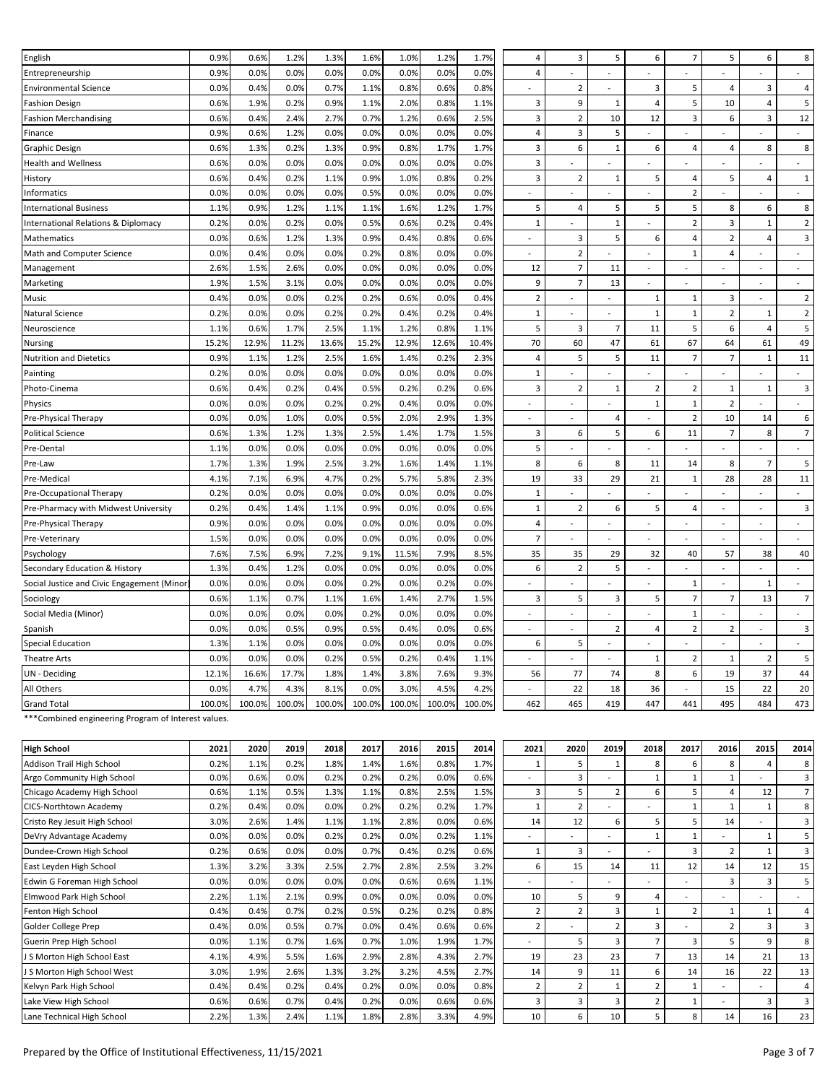| English                                    | 0.9%   | 0.6%   | 1.2%   | 1.3%   | 1.6%   | 1.0%   | 1.2%   | 1.7%   | 4                         | 3                        | 5                        | 6                           | $\overline{7}$           | 5                        | 6                        | 8                           |
|--------------------------------------------|--------|--------|--------|--------|--------|--------|--------|--------|---------------------------|--------------------------|--------------------------|-----------------------------|--------------------------|--------------------------|--------------------------|-----------------------------|
| Entrepreneurship                           | 0.9%   | 0.0%   | 0.0%   | 0.0%   | 0.0%   | 0.0%   | 0.0%   | 0.0%   | $\overline{4}$            |                          |                          |                             |                          |                          |                          | $\sim$                      |
| <b>Environmental Science</b>               | 0.0%   | 0.4%   | 0.0%   | 0.7%   | 1.1%   | 0.8%   | 0.6%   | 0.8%   | $\mathbb{Z}^{\mathbb{Z}}$ | $\overline{2}$           | $\blacksquare$           | 3                           | 5                        | 4                        | 3                        | 4                           |
| <b>Fashion Design</b>                      | 0.6%   | 1.9%   | 0.2%   | 0.9%   | 1.1%   | 2.0%   | 0.8%   | 1.1%   | 3                         | 9                        | $\mathbf{1}$             | $\pmb{4}$                   | 5                        | 10                       | 4                        | 5                           |
| <b>Fashion Merchandising</b>               | 0.6%   | 0.4%   | 2.4%   | 2.7%   | 0.7%   | 1.2%   | 0.6%   | 2.5%   | 3                         | $\overline{2}$           | 10                       | 12                          | 3                        | 6                        | 3                        | 12                          |
| Finance                                    | 0.9%   | 0.6%   | 1.2%   | 0.0%   | 0.0%   | 0.0%   | 0.0%   | 0.0%   | $\sqrt{4}$                | $\overline{\mathbf{3}}$  | $\sqrt{5}$               | $\mathcal{L}^{\mathcal{A}}$ |                          | $\overline{a}$           | ÷.                       | $\mathcal{L}^{\mathcal{A}}$ |
| Graphic Design                             | 0.6%   | 1.3%   | 0.2%   | 1.3%   | 0.9%   | 0.8%   | 1.7%   | 1.7%   | 3                         | 6                        | $\mathbf{1}$             | 6                           | 4                        | 4                        | 8                        | 8                           |
| <b>Health and Wellness</b>                 | 0.6%   | 0.0%   | 0.0%   | 0.0%   | 0.0%   | 0.0%   | 0.0%   | 0.0%   | $\mathsf 3$               | $\overline{\phantom{0}}$ |                          | ٠                           |                          | $\overline{a}$           |                          | $\sim$                      |
| History                                    | 0.6%   | 0.4%   | 0.2%   | 1.1%   | 0.9%   | 1.0%   | 0.8%   | 0.2%   | $\overline{\mathbf{3}}$   | $\overline{2}$           | $\mathbf{1}$             | 5                           | $\overline{4}$           | 5                        | 4                        | $\mathbf 1$                 |
| <b>Informatics</b>                         | 0.0%   | 0.0%   | 0.0%   | 0.0%   | 0.5%   | 0.0%   | 0.0%   | 0.0%   | $\overline{a}$            | $\overline{a}$           |                          | $\overline{a}$              | $\overline{2}$           |                          |                          | $\sim$                      |
| <b>International Business</b>              | 1.1%   | 0.9%   | 1.2%   | 1.1%   | 1.1%   | 1.6%   | 1.2%   | 1.7%   | 5                         | $\overline{4}$           | 5                        | 5                           | 5                        | 8                        | 6                        | 8                           |
| International Relations & Diplomacy        | 0.2%   | 0.0%   | 0.2%   | 0.0%   | 0.5%   | 0.6%   | 0.2%   | 0.4%   | $\,1\,$                   | $\mathbf{r}$             | $\,1\,$                  | $\overline{a}$              | $\mathbf 2$              | 3                        | $\mathbf 1$              | $\mathbf 2$                 |
| Mathematics                                | 0.0%   | 0.6%   | 1.2%   | 1.3%   | 0.9%   | 0.4%   | 0.8%   | 0.6%   | $\overline{\phantom{a}}$  | 3                        | 5                        | 6                           | 4                        | $\overline{2}$           | 4                        | 3                           |
| Math and Computer Science                  | 0.0%   | 0.4%   | 0.0%   | 0.0%   | 0.2%   | 0.8%   | 0.0%   | 0.0%   | $\overline{a}$            | $\overline{2}$           | $\overline{a}$           | $\overline{a}$              | $\mathbf{1}$             | 4                        |                          | ÷                           |
| Management                                 | 2.6%   | 1.5%   | 2.6%   | 0.0%   | 0.0%   | 0.0%   | 0.0%   | 0.0%   | 12                        | $\overline{7}$           | 11                       | $\overline{\phantom{a}}$    |                          | $\overline{a}$           | $\overline{a}$           | $\bar{\phantom{a}}$         |
| Marketing                                  | 1.9%   | 1.5%   | 3.1%   | 0.0%   | 0.0%   | 0.0%   | 0.0%   | 0.0%   | 9                         | $\overline{7}$           | 13                       | $\overline{a}$              | $\overline{a}$           | $\overline{a}$           | $\overline{a}$           | $\sim$                      |
| Music                                      | 0.4%   | 0.0%   | 0.0%   | 0.2%   | 0.2%   | 0.6%   | 0.0%   | 0.4%   | $\overline{2}$            | ÷.                       | $\overline{a}$           | 1                           | $\mathbf{1}$             | 3                        | $\overline{\phantom{a}}$ | $\overline{2}$              |
| Natural Science                            | 0.2%   | 0.0%   | 0.0%   | 0.2%   | 0.2%   | 0.4%   | 0.2%   | 0.4%   | $\mathbf{1}$              | $\sim$                   | $\overline{\phantom{a}}$ | $\mathbf{1}$                | $\mathbf{1}$             | $\overline{2}$           | $\mathbf{1}$             | $\overline{2}$              |
| Neuroscience                               | 1.1%   | 0.6%   | 1.7%   | 2.5%   | 1.1%   | 1.2%   | 0.8%   | 1.1%   | 5                         | 3                        | $\overline{7}$           | 11                          | 5                        | 6                        | 4                        | 5                           |
| <b>Nursing</b>                             | 15.2%  | 12.9%  | 11.2%  | 13.6%  | 15.2%  | 12.9%  | 12.6%  | 10.4%  | 70                        | 60                       | 47                       | 61                          | 67                       | 64                       | 61                       | 49                          |
| <b>Nutrition and Dietetics</b>             | 0.9%   | 1.1%   | 1.2%   | 2.5%   | 1.6%   | 1.4%   | 0.2%   | 2.3%   | $\overline{4}$            | 5                        | 5                        | 11                          | $\overline{7}$           | $\overline{7}$           | $\mathbf 1$              | $11\,$                      |
| Painting                                   | 0.2%   | 0.0%   | 0.0%   | 0.0%   | 0.0%   | 0.0%   | 0.0%   | 0.0%   | $\mathbf{1}$              | ÷.                       | $\overline{a}$           | $\overline{a}$              | $\overline{\phantom{a}}$ | ÷.                       | $\overline{\phantom{0}}$ | $\omega$                    |
| Photo-Cinema                               | 0.6%   | 0.4%   | 0.2%   | 0.4%   | 0.5%   | 0.2%   | 0.2%   | 0.6%   | $\overline{\mathbf{3}}$   | $\overline{2}$           | $\mathbf{1}$             | $\mathbf 2$                 | 2                        | $\mathbf{1}$             | $1\,$                    | 3                           |
| Physics                                    | 0.0%   | 0.0%   | 0.0%   | 0.2%   | 0.2%   | 0.4%   | 0.0%   | 0.0%   | $\overline{\phantom{a}}$  | $\overline{a}$           | $\overline{a}$           | $\mathbf{1}$                | $\mathbf{1}$             | $\overline{2}$           |                          | $\sim$                      |
| Pre-Physical Therapy                       | 0.0%   | 0.0%   | 1.0%   | 0.0%   | 0.5%   | 2.0%   | 2.9%   | 1.3%   | $\sim$                    | ٠                        | $\overline{4}$           | $\overline{\phantom{a}}$    | $\overline{2}$           | 10                       | 14                       | 6                           |
| <b>Political Science</b>                   | 0.6%   | 1.3%   | 1.2%   | 1.3%   | 2.5%   | 1.4%   | 1.7%   | 1.5%   | 3                         | 6                        | 5                        | 6                           | 11                       | $\overline{7}$           | 8                        | $\overline{7}$              |
| Pre-Dental                                 | 1.1%   | 0.0%   | 0.0%   | 0.0%   | 0.0%   | 0.0%   | 0.0%   | 0.0%   | 5                         | $\overline{a}$           |                          |                             |                          | $\overline{a}$           |                          |                             |
| Pre-Law                                    | 1.7%   | 1.3%   | 1.9%   | 2.5%   | 3.2%   | 1.6%   | 1.4%   | 1.1%   | 8                         | 6                        | 8                        | 11                          | 14                       | 8                        | $\overline{7}$           | 5                           |
| Pre-Medical                                | 4.1%   | 7.1%   | 6.9%   | 4.7%   | 0.2%   | 5.7%   | 5.8%   | 2.3%   | 19                        | 33                       | 29                       | 21                          | $\mathbf{1}$             | 28                       | 28                       | $11\,$                      |
| Pre-Occupational Therapy                   | 0.2%   | 0.0%   | 0.0%   | 0.0%   | 0.0%   | 0.0%   | 0.0%   | 0.0%   | $\mathbf{1}$              |                          |                          |                             |                          |                          |                          |                             |
| Pre-Pharmacy with Midwest University       | 0.2%   | 0.4%   | 1.4%   | 1.1%   | 0.9%   | 0.0%   | 0.0%   | 0.6%   | $\mathbf 1$               | $\overline{2}$           | $\boldsymbol{6}$         | 5                           | 4                        | $\blacksquare$           | $\overline{\phantom{a}}$ | 3                           |
| Pre-Physical Therapy                       | 0.9%   | 0.0%   | 0.0%   | 0.0%   | 0.0%   | 0.0%   | 0.0%   | 0.0%   | $\overline{4}$            | $\overline{a}$           | $\overline{a}$           | $\overline{a}$              |                          | $\sim$                   | $\overline{a}$           | ÷                           |
| Pre-Veterinary                             | 1.5%   | 0.0%   | 0.0%   | 0.0%   | 0.0%   | 0.0%   | 0.0%   | 0.0%   | $\overline{7}$            |                          |                          |                             |                          | ÷.                       |                          | $\sim$                      |
| Psychology                                 | 7.6%   | 7.5%   | 6.9%   | 7.2%   | 9.1%   | 11.5%  | 7.9%   | 8.5%   | 35                        | 35                       | 29                       | 32                          | 40                       | 57                       | 38                       | 40                          |
| Secondary Education & History              | 1.3%   | 0.4%   | 1.2%   | 0.0%   | 0.0%   | 0.0%   | 0.0%   | 0.0%   | 6                         | $\overline{2}$           | 5                        | $\overline{a}$              |                          | $\sim$                   |                          | ÷                           |
| Social Justice and Civic Engagement (Minor | 0.0%   | 0.0%   | 0.0%   | 0.0%   | 0.2%   | 0.0%   | 0.2%   | 0.0%   | $\overline{\phantom{a}}$  | $\overline{a}$           |                          | $\overline{a}$              | $\mathbf{1}$             | ÷.                       | $\mathbf{1}$             | $\sim$                      |
| Sociology                                  | 0.6%   | 1.1%   | 0.7%   | 1.1%   | 1.6%   | 1.4%   | 2.7%   | 1.5%   | $\overline{3}$            | 5                        | 3                        | 5                           | $\overline{7}$           | $\overline{7}$           | 13                       | $\overline{7}$              |
| Social Media (Minor)                       | 0.0%   | 0.0%   | 0.0%   | 0.0%   | 0.2%   | 0.0%   | 0.0%   | 0.0%   | $\blacksquare$            | $\sim$                   | $\overline{a}$           | $\overline{a}$              | $\mathbf{1}$             | $\overline{a}$           | $\overline{a}$           | $\sim$                      |
| Spanish                                    | 0.0%   | 0.0%   | 0.5%   | 0.9%   | 0.5%   | 0.4%   | 0.0%   | 0.6%   | $\overline{a}$            | ÷,                       | $\overline{2}$           | $\overline{4}$              | $\overline{2}$           | $\overline{2}$           | $\overline{a}$           | 3                           |
| <b>Special Education</b>                   | 1.3%   | 1.1%   | 0.0%   | 0.0%   | 0.0%   | 0.0%   | 0.0%   | 0.0%   | 6                         | 5                        | $\sim$                   | $\sim$                      | $\overline{a}$           | $\overline{\phantom{a}}$ | $\sim$                   | $\overline{\phantom{a}}$    |
| <b>Theatre Arts</b>                        | 0.0%   | 0.0%   | 0.0%   | 0.2%   | 0.5%   | 0.2%   | 0.4%   | 1.1%   | $\overline{a}$            | $\overline{a}$           | $\overline{a}$           | $\mathbf{1}$                | $\overline{2}$           | $\mathbf{1}$             | $\overline{2}$           | 5                           |
| UN - Deciding                              | 12.1%  | 16.6%  | 17.7%  | 1.8%   | 1.4%   | 3.8%   | 7.6%   | 9.3%   | 56                        | 77                       | 74                       | 8                           | 6                        | 19                       | 37                       | 44                          |
| All Others                                 | 0.0%   | 4.7%   | 4.3%   | 8.1%   | 0.0%   | 3.0%   | 4.5%   | 4.2%   | ÷.                        | 22                       | 18                       | 36                          | $\overline{a}$           | 15                       | 22                       | 20                          |
| <b>Grand Total</b>                         | 100.0% | 100.0% | 100.0% | 100.0% | 100.0% | 100.0% | 100.0% | 100.0% | 462                       | 465                      | 419                      | 447                         | 441                      | 495                      | 484                      | 473                         |
|                                            |        |        |        |        |        |        |        |        |                           |                          |                          |                             |                          |                          |                          |                             |

\*Combined engineering Program of Interest values.

| <b>High School</b>            | 2021 | 2020 | 2019 | 2018 | 2017 | 2016 | 2015 | 2014 | 2021                     | 2020           | 2019           | 2018           | 2017                    | 2016                     | 2015           | 2014           |
|-------------------------------|------|------|------|------|------|------|------|------|--------------------------|----------------|----------------|----------------|-------------------------|--------------------------|----------------|----------------|
| Addison Trail High School     | 0.2% | 1.1% | 0.2% | 1.8% | 1.4% | 1.6% | 0.8% | 1.7% | -1                       | 5              | 1              | 8              | 6                       | 8                        | $\overline{4}$ | 8              |
| Argo Community High School    | 0.0% | 0.6% | 0.0% | 0.2% | 0.2% | 0.2% | 0.0% | 0.6% | $\overline{\phantom{0}}$ | 3              |                |                |                         |                          |                | 3              |
| Chicago Academy High School   | 0.6% | 1.1% | 0.5% | 1.3% | 1.1% | 0.8% | 2.5% | 1.5% | $\overline{3}$           | 5              | $\overline{2}$ | 6              | 5                       | 4                        | 12             | $\overline{7}$ |
| CICS-Northtown Academy        | 0.2% | 0.4% | 0.0% | 0.0% | 0.2% | 0.2% | 0.2% | 1.7% | $\mathbf{1}$             | $\overline{2}$ |                |                | 1                       |                          | 1              | 8              |
| Cristo Rey Jesuit High School | 3.0% | 2.6% | 1.4% | 1.1% | 1.1% | 2.8% | 0.0% | 0.6% | 14                       | 12             | 6              | 5              | 5                       | 14                       |                | 3              |
| DeVry Advantage Academy       | 0.0% | 0.0% | 0.0% | 0.2% | 0.2% | 0.0% | 0.2% | 1.1% | -                        |                |                |                | $\mathbf{1}$            | $\overline{\phantom{a}}$ | $\mathbf{1}$   | 5              |
| Dundee-Crown High School      | 0.2% | 0.6% | 0.0% | 0.0% | 0.7% | 0.4% | 0.2% | 0.6% | $\mathbf{1}$             | 3              |                |                | 3                       | $\overline{2}$           | $\mathbf{1}$   | 3              |
| East Leyden High School       | 1.3% | 3.2% | 3.3% | 2.5% | 2.7% | 2.8% | 2.5% | 3.2% | 6                        | 15             | 14             | 11             | 12                      | 14                       | 12             | 15             |
| Edwin G Foreman High School   | 0.0% | 0.0% | 0.0% | 0.0% | 0.0% | 0.6% | 0.6% | 1.1% | $\overline{\phantom{0}}$ |                |                |                |                         |                          | 3              | 5              |
| Elmwood Park High School      | 2.2% | 1.1% | 2.1% | 0.9% | 0.0% | 0.0% | 0.0% | 0.0% | 10                       | 5              | 9              | 4              |                         |                          |                |                |
| Fenton High School            | 0.4% | 0.4% | 0.7% | 0.2% | 0.5% | 0.2% | 0.2% | 0.8% | $\overline{2}$           | $\overline{z}$ | $\overline{3}$ |                | $\overline{2}$          |                          | $\mathbf{1}$   | 4              |
| Golder College Prep           | 0.4% | 0.0% | 0.5% | 0.7% | 0.0% | 0.4% | 0.6% | 0.6% | $\overline{2}$           |                | $\overline{2}$ | 3              |                         | $\overline{2}$           | 3              | 3              |
| Guerin Prep High School       | 0.0% | 1.1% | 0.7% | 1.6% | 0.7% | 1.0% | 1.9% | 1.7% | -                        | 5              | $\overline{3}$ | $\overline{7}$ | $\overline{\mathbf{3}}$ | 5                        | 9              | 8              |
| J S Morton High School East   | 4.1% | 4.9% | 5.5% | 1.6% | 2.9% | 2.8% | 4.3% | 2.7% | 19                       | 23             | 23             | $\overline{7}$ | 13                      | 14                       | 21             | 13             |
| J S Morton High School West   | 3.0% | 1.9% | 2.6% | 1.3% | 3.2% | 3.2% | 4.5% | 2.7% | 14                       | 9              | 11             | 6              | 14                      | 16                       | 22             | 13             |
| Kelvyn Park High School       | 0.4% | 0.4% | 0.2% | 0.4% | 0.2% | 0.0% | 0.0% | 0.8% | $\overline{2}$           | $\overline{2}$ | $\mathbf{1}$   | $\overline{2}$ | $\mathbf{1}$            |                          |                | 4              |
| Lake View High School         | 0.6% | 0.6% | 0.7% | 0.4% | 0.2% | 0.0% | 0.6% | 0.6% | 3                        | 3              | 3              | $\overline{2}$ | $\mathbf{1}$            |                          | 3              | 3              |
| Lane Technical High School    | 2.2% | 1.3% | 2.4% | 1.1% | 1.8% | 2.8% | 3.3% | 4.9% | 10                       | 6              | 10             | 5              | 8                       | 14                       | 16             | 23             |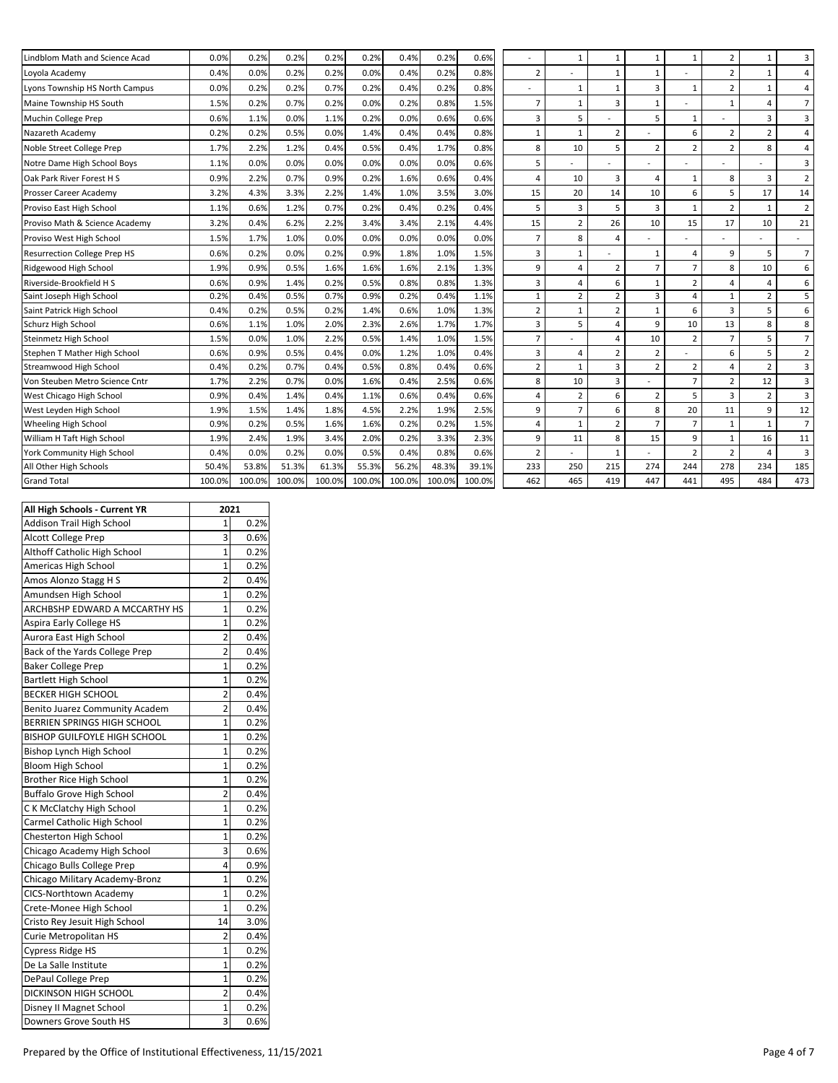| Lindblom Math and Science Acad | 0.0%   | 0.2%   | 0.2%   | 0.2%   | 0.2%   | 0.4%   | 0.2%   | 0.6%   |                | $\mathbf{1}$             | $\mathbf{1}$   | $\mathbf{1}$   | $\mathbf{1}$   | $\overline{2}$ | $\mathbf{1}$   | 3                       |
|--------------------------------|--------|--------|--------|--------|--------|--------|--------|--------|----------------|--------------------------|----------------|----------------|----------------|----------------|----------------|-------------------------|
| Loyola Academy                 | 0.4%   | 0.0%   | 0.2%   | 0.2%   | 0.0%   | 0.4%   | 0.2%   | 0.8%   | 2              |                          | $\mathbf{1}$   | $\mathbf{1}$   |                | $\overline{2}$ | $\mathbf{1}$   | $\overline{a}$          |
| Lyons Township HS North Campus | 0.0%   | 0.2%   | 0.2%   | 0.7%   | 0.2%   | 0.4%   | 0.2%   | 0.8%   |                | $\mathbf{1}$             | $\mathbf{1}$   | 3              | $\mathbf{1}$   | $\overline{2}$ | $\mathbf{1}$   | $\overline{a}$          |
| Maine Township HS South        | 1.5%   | 0.2%   | 0.7%   | 0.2%   | 0.0%   | 0.2%   | 0.8%   | 1.5%   | 7              | $\mathbf{1}$             | 3              | $\mathbf{1}$   |                |                | $\overline{a}$ | $\overline{7}$          |
| Muchin College Prep            | 0.6%   | 1.1%   | 0.0%   | 1.1%   | 0.2%   | 0.0%   | 0.6%   | 0.6%   | 3              | 5                        |                | 5              | $\mathbf{1}$   |                | 3              | 3                       |
| Nazareth Academy               | 0.2%   | 0.2%   | 0.5%   | 0.0%   | 1.4%   | 0.4%   | 0.4%   | 0.8%   | $\mathbf{1}$   | $\mathbf{1}$             | $\overline{2}$ |                | 6              | $\overline{2}$ | $\overline{2}$ | $\overline{a}$          |
| Noble Street College Prep      | 1.7%   | 2.2%   | 1.2%   | 0.4%   | 0.5%   | 0.4%   | 1.7%   | 0.8%   | 8              | 10                       | 5              | $\overline{2}$ | $\overline{2}$ | $\overline{2}$ | 8              | 4                       |
| Notre Dame High School Boys    | 1.1%   | 0.0%   | 0.0%   | 0.0%   | 0.0%   | 0.0%   | 0.0%   | 0.6%   | 5              |                          |                |                |                |                |                | 3                       |
| Oak Park River Forest H S      | 0.9%   | 2.2%   | 0.7%   | 0.9%   | 0.2%   | 1.6%   | 0.6%   | 0.4%   | 4              | 10                       | 3              | 4              | $\mathbf{1}$   | 8              | 3              | $\overline{2}$          |
| Prosser Career Academy         | 3.2%   | 4.3%   | 3.3%   | 2.2%   | 1.4%   | 1.0%   | 3.5%   | 3.0%   | 15             | 20                       | 14             | 10             | 6              | 5              | 17             | 14                      |
| Proviso East High School       | 1.1%   | 0.6%   | 1.2%   | 0.7%   | 0.2%   | 0.4%   | 0.2%   | 0.4%   | 5              | 3                        | 5              | 3              | $\mathbf{1}$   | $\overline{2}$ | $\mathbf{1}$   | $\overline{2}$          |
| Proviso Math & Science Academy | 3.2%   | 0.4%   | 6.2%   | 2.2%   | 3.4%   | 3.4%   | 2.1%   | 4.4%   | 15             | $\overline{2}$           | 26             | 10             | 15             | 17             | 10             | 21                      |
| Proviso West High School       | 1.5%   | 1.7%   | 1.0%   | 0.0%   | 0.0%   | 0.0%   | 0.0%   | 0.0%   | $\overline{7}$ | 8                        | 4              |                |                |                |                | $\sim$                  |
| Resurrection College Prep HS   | 0.6%   | 0.2%   | 0.0%   | 0.2%   | 0.9%   | 1.8%   | 1.0%   | 1.5%   | 3              | $\mathbf{1}$             |                | $\mathbf{1}$   | 4              | 9              | 5              | $\overline{7}$          |
| Ridgewood High School          | 1.9%   | 0.9%   | 0.5%   | 1.6%   | 1.6%   | 1.6%   | 2.1%   | 1.3%   | 9              | 4                        | $\overline{2}$ | $\overline{7}$ | $\overline{7}$ | 8              | 10             | 6                       |
| Riverside-Brookfield H S       | 0.6%   | 0.9%   | 1.4%   | 0.2%   | 0.5%   | 0.8%   | 0.8%   | 1.3%   | 3              | 4                        | 6              | $\mathbf{1}$   | $\overline{2}$ | 4              | $\overline{a}$ | 6                       |
| Saint Joseph High School       | 0.2%   | 0.4%   | 0.5%   | 0.7%   | 0.9%   | 0.2%   | 0.4%   | 1.1%   | $\mathbf{1}$   | $\overline{2}$           | $\overline{2}$ | 3              | 4              | $\mathbf{1}$   | $\overline{2}$ | 5                       |
| Saint Patrick High School      | 0.4%   | 0.2%   | 0.5%   | 0.2%   | 1.4%   | 0.6%   | 1.0%   | 1.3%   | $\overline{2}$ | $\mathbf{1}$             | $\overline{2}$ | $\mathbf{1}$   | 6              | 3              | 5              | 6                       |
| Schurz High School             | 0.6%   | 1.1%   | 1.0%   | 2.0%   | 2.3%   | 2.6%   | 1.7%   | 1.7%   | 3              | 5                        | $\overline{4}$ | 9              | 10             | 13             | 8              | 8                       |
| Steinmetz High School          | 1.5%   | 0.0%   | 1.0%   | 2.2%   | 0.5%   | 1.4%   | 1.0%   | 1.5%   | $\overline{7}$ |                          | $\overline{4}$ | 10             | $\overline{2}$ | $\overline{7}$ | 5              | $\overline{7}$          |
| Stephen T Mather High School   | 0.6%   | 0.9%   | 0.5%   | 0.4%   | 0.0%   | 1.2%   | 1.0%   | 0.4%   | 3              | 4                        | $\overline{2}$ | $\overline{2}$ |                | 6              | 5              | $\overline{2}$          |
| Streamwood High School         | 0.4%   | 0.2%   | 0.7%   | 0.4%   | 0.5%   | 0.8%   | 0.4%   | 0.6%   | $\overline{2}$ | $\mathbf{1}$             | $\overline{3}$ | $\overline{2}$ | $\overline{2}$ | $\overline{a}$ | $\overline{2}$ | 3                       |
| Von Steuben Metro Science Cntr | 1.7%   | 2.2%   | 0.7%   | 0.0%   | 1.6%   | 0.4%   | 2.5%   | 0.6%   | 8              | 10                       | 3              |                | $\overline{7}$ | $\overline{2}$ | 12             | $\overline{\mathbf{3}}$ |
| West Chicago High School       | 0.9%   | 0.4%   | 1.4%   | 0.4%   | 1.1%   | 0.6%   | 0.4%   | 0.6%   | 4              | $\overline{2}$           | 6              | $\overline{2}$ | 5              | 3              | $\overline{2}$ | 3                       |
| West Leyden High School        | 1.9%   | 1.5%   | 1.4%   | 1.8%   | 4.5%   | 2.2%   | 1.9%   | 2.5%   | 9              | $\overline{7}$           | 6              | 8              | 20             | 11             | 9              | 12                      |
| Wheeling High School           | 0.9%   | 0.2%   | 0.5%   | 1.6%   | 1.6%   | 0.2%   | 0.2%   | 1.5%   | 4              | $\mathbf{1}$             | $\overline{2}$ | $\overline{7}$ | $\overline{7}$ | $\mathbf{1}$   | $\mathbf{1}$   | $\overline{7}$          |
| William H Taft High School     | 1.9%   | 2.4%   | 1.9%   | 3.4%   | 2.0%   | 0.2%   | 3.3%   | 2.3%   | 9              | 11                       | 8              | 15             | 9              | $\mathbf{1}$   | 16             | 11                      |
| York Community High School     | 0.4%   | 0.0%   | 0.2%   | 0.0%   | 0.5%   | 0.4%   | 0.8%   | 0.6%   | 2              | $\overline{\phantom{0}}$ | $\mathbf{1}$   |                | $\overline{2}$ | 2              | $\overline{a}$ | 3                       |
| All Other High Schools         | 50.4%  | 53.8%  | 51.3%  | 61.3%  | 55.3%  | 56.2%  | 48.3%  | 39.1%  | 233            | 250                      | 215            | 274            | 244            | 278            | 234            | 185                     |
| <b>Grand Total</b>             | 100.0% | 100.0% | 100.0% | 100.0% | 100.0% | 100.0% | 100.0% | 100.0% | 462            | 465                      | 419            | 447            | 441            | 495            | 484            | 473                     |
|                                |        |        |        |        |        |        |        |        |                |                          |                |                |                |                |                |                         |

| All High Schools - Current YR       | 2021           |      |
|-------------------------------------|----------------|------|
| Addison Trail High School           | 1              | 0.2% |
| <b>Alcott College Prep</b>          | 3              | 0.6% |
| Althoff Catholic High School        | $\mathbf{1}$   | 0.2% |
| Americas High School                | 1              | 0.2% |
| Amos Alonzo Stagg H S               | 2              | 0.4% |
| Amundsen High School                | $\mathbf{1}$   | 0.2% |
| ARCHBSHP EDWARD A MCCARTHY HS       | 1              | 0.2% |
| Aspira Early College HS             | $\overline{1}$ | 0.2% |
| Aurora East High School             | 2              | 0.4% |
| Back of the Yards College Prep      | 2              | 0.4% |
| <b>Baker College Prep</b>           | $\overline{1}$ | 0.2% |
| <b>Bartlett High School</b>         | $\mathbf{1}$   | 0.2% |
| <b>BECKER HIGH SCHOOL</b>           | $\overline{2}$ | 0.4% |
| Benito Juarez Community Academ      | 2              | 0.4% |
| BERRIEN SPRINGS HIGH SCHOOL         | $\mathbf{1}$   | 0.2% |
| <b>BISHOP GUILFOYLE HIGH SCHOOL</b> | 1              | 0.2% |
| Bishop Lynch High School            | 1              | 0.2% |
| Bloom High School                   | 1              | 0.2% |
| Brother Rice High School            | 1              | 0.2% |
| <b>Buffalo Grove High School</b>    | 2              | 0.4% |
| C K McClatchy High School           | 1              | 0.2% |
| Carmel Catholic High School         | 1              | 0.2% |
| Chesterton High School              | 1              | 0.2% |
| Chicago Academy High School         | 3              | 0.6% |
| Chicago Bulls College Prep          | 4              | 0.9% |
| Chicago Military Academy-Bronz      | $\mathbf{1}$   | 0.2% |
| CICS-Northtown Academy              | $\mathbf{1}$   | 0.2% |
| Crete-Monee High School             | 1              | 0.2% |
| Cristo Rey Jesuit High School       | 14             | 3.0% |
| Curie Metropolitan HS               | 2              | 0.4% |
| <b>Cypress Ridge HS</b>             | $\mathbf{1}$   | 0.2% |
| De La Salle Institute               | 1              | 0.2% |
| DePaul College Prep                 | $\mathbf{1}$   | 0.2% |
| DICKINSON HIGH SCHOOL               | $\overline{2}$ | 0.4% |
| Disney II Magnet School             | 1              | 0.2% |
| Downers Grove South HS              | 3              | 0.6% |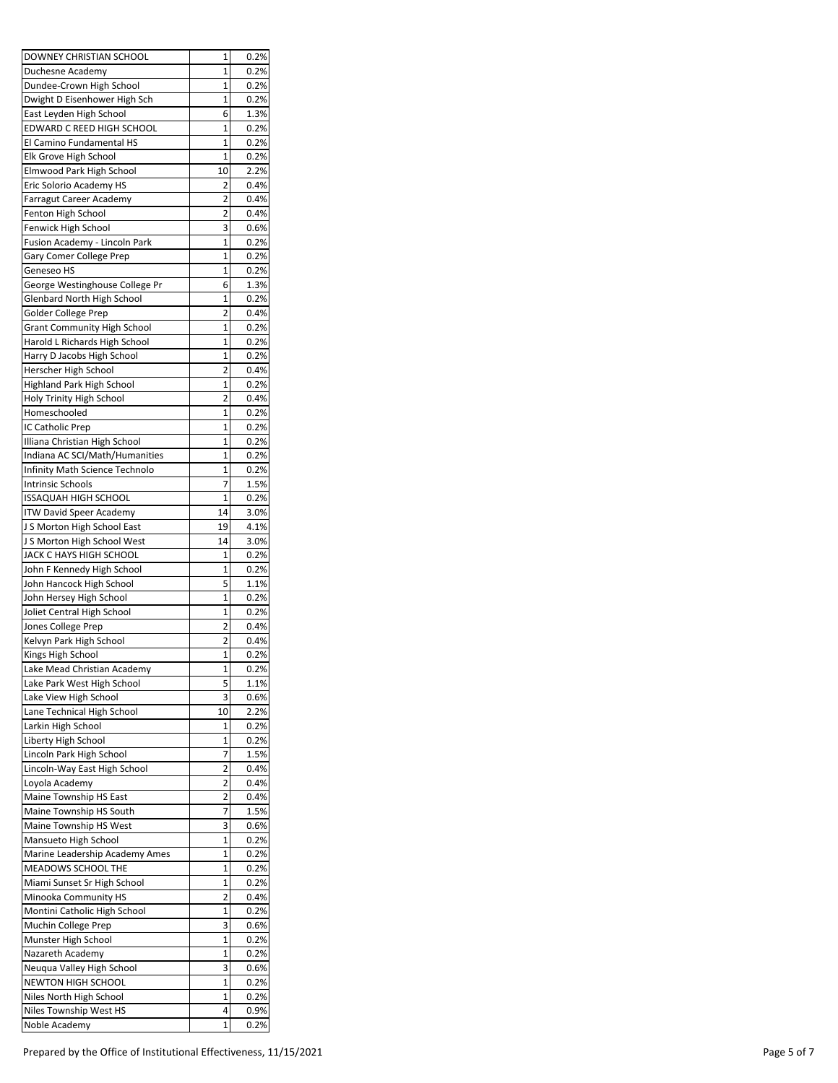| DOWNEY CHRISTIAN SCHOOL        | 1              | 0.2% |
|--------------------------------|----------------|------|
| Duchesne Academy               | 1              | 0.2% |
| Dundee-Crown High School       | 1              | 0.2% |
| Dwight D Eisenhower High Sch   | 1              | 0.2% |
| East Leyden High School        | 6              | 1.3% |
| EDWARD C REED HIGH SCHOOL      | 1              | 0.2% |
| El Camino Fundamental HS       | 1              | 0.2% |
| Elk Grove High School          | 1              | 0.2% |
| Elmwood Park High School       | 10             | 2.2% |
| Eric Solorio Academy HS        | 2              | 0.4% |
| Farragut Career Academy        | 2              | 0.4% |
| Fenton High School             | 2              | 0.4% |
| Fenwick High School            | 3              | 0.6% |
| Fusion Academy - Lincoln Park  | 1              | 0.2% |
| Gary Comer College Prep        | 1              | 0.2% |
| Geneseo HS                     | 1              | 0.2% |
| George Westinghouse College Pr | 6              | 1.3% |
| Glenbard North High School     | 1              | 0.2% |
| Golder College Prep            | 2              | 0.4% |
| Grant Community High School    | 1              | 0.2% |
| Harold L Richards High School  | 1              | 0.2% |
| Harry D Jacobs High School     | $\overline{1}$ | 0.2% |
| Herscher High School           | 2              | 0.4% |
| Highland Park High School      | 1              | 0.2% |
| Holy Trinity High School       | 2              | 0.4% |
| Homeschooled                   | 1              | 0.2% |
| IC Catholic Prep               | 1              | 0.2% |
| Illiana Christian High School  | 1              | 0.2% |
| Indiana AC SCI/Math/Humanities | 1              | 0.2% |
| Infinity Math Science Technolo | 1              | 0.2% |
| <b>Intrinsic Schools</b>       | 7              | 1.5% |
| <b>ISSAQUAH HIGH SCHOOL</b>    | $\overline{1}$ | 0.2% |
| <b>ITW David Speer Academy</b> | 14             | 3.0% |
| J S Morton High School East    | 19             | 4.1% |
| J S Morton High School West    | 14             | 3.0% |
| JACK C HAYS HIGH SCHOOL        | 1              | 0.2% |
| John F Kennedy High School     | 1              | 0.2% |
| John Hancock High School       | 5              | 1.1% |
| John Hersey High School        | $\overline{1}$ | 0.2% |
| Joliet Central High School     | 1              | 0.2% |
| Jones College Prep             | 2              | 0.4% |
| Kelvyn Park High School        | 2              | 0.4% |
| Kings High School              | 1              | 0.2% |
| Lake Mead Christian Academy    | 1              | 0.2% |
| Lake Park West High School     | 5              | 1.1% |
| Lake View High School          | 3              | 0.6% |
| Lane Technical High School     | 10             | 2.2% |
| Larkin High School             | 1              | 0.2% |
| Liberty High School            | $\overline{1}$ | 0.2% |
| Lincoln Park High School       | 7              | 1.5% |
| Lincoln-Way East High School   | 2              | 0.4% |
| Loyola Academy                 | 2              | 0.4% |
| Maine Township HS East         | 2              | 0.4% |
| Maine Township HS South        | 7              | 1.5% |
| Maine Township HS West         | 3              | 0.6% |
| Mansueto High School           | 1              | 0.2% |
| Marine Leadership Academy Ames | 1              | 0.2% |
| MEADOWS SCHOOL THE             | 1              | 0.2% |
| Miami Sunset Sr High School    | 1              | 0.2% |
| Minooka Community HS           | 2              | 0.4% |
| Montini Catholic High School   | 1              | 0.2% |
| Muchin College Prep            | 3              | 0.6% |
| Munster High School            | 1              | 0.2% |
| Nazareth Academy               | 1              | 0.2% |
| Neuqua Valley High School      | 3              | 0.6% |
| NEWTON HIGH SCHOOL             | 1              | 0.2% |
| Niles North High School        | 1              | 0.2% |
| Niles Township West HS         | 4              | 0.9% |
| Noble Academy                  | 1              | 0.2% |
|                                |                |      |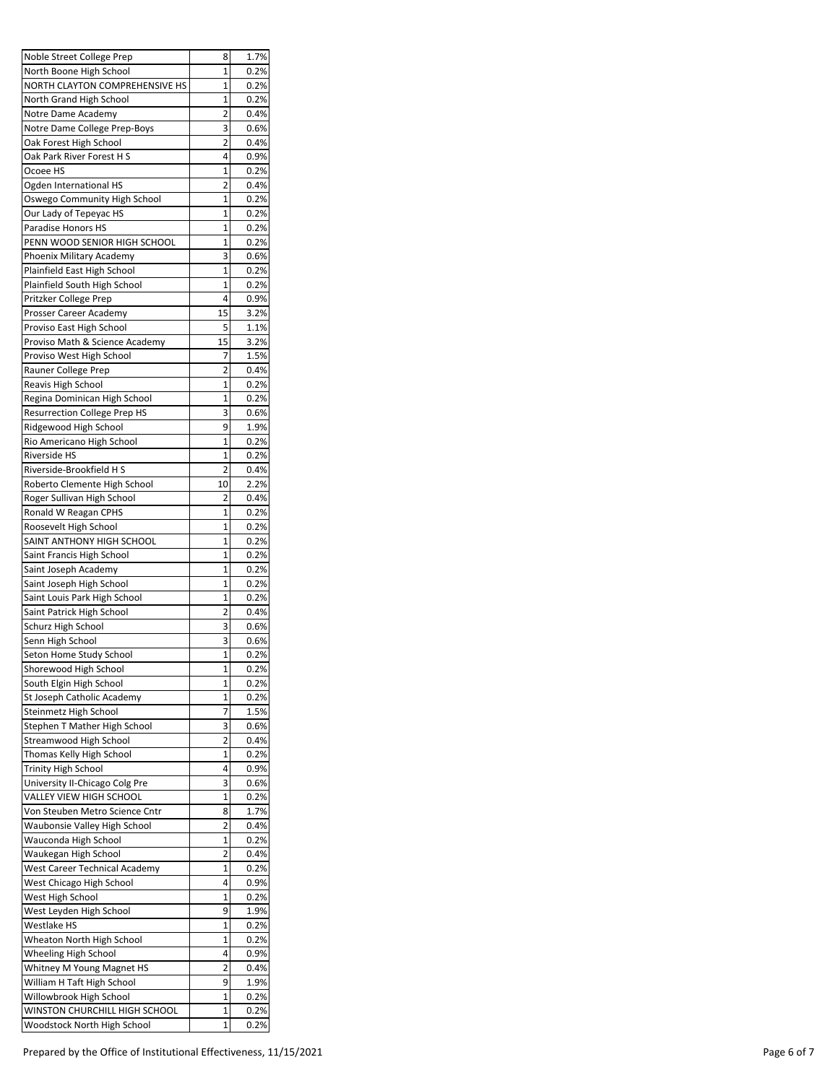| Noble Street College Prep                          | 8              | 1.7%         |
|----------------------------------------------------|----------------|--------------|
| North Boone High School                            | 1              | 0.2%         |
| NORTH CLAYTON COMPREHENSIVE HS                     | 1              | 0.2%         |
| North Grand High School                            | $\overline{1}$ | 0.2%         |
| Notre Dame Academy                                 | 2              | 0.4%         |
| Notre Dame College Prep-Boys                       | з              | 0.6%         |
| Oak Forest High School                             | 2              | 0.4%         |
| Oak Park River Forest H S                          | 4              | 0.9%         |
| Ocoee HS                                           | 1              | 0.2%         |
| Ogden International HS                             | 2              | 0.4%         |
| Oswego Community High School                       | $\overline{1}$ | 0.2%         |
| Our Lady of Tepeyac HS                             | 1              | 0.2%         |
| Paradise Honors HS                                 | 1              | 0.2%         |
| PENN WOOD SENIOR HIGH SCHOOL                       | 1              | 0.2%         |
| Phoenix Military Academy                           | 3              | 0.6%         |
| Plainfield East High School                        | 1              | 0.2%         |
| Plainfield South High School                       | 1              | 0.2%         |
| Pritzker College Prep                              | 4              | 0.9%         |
| Prosser Career Academy                             | 15             | 3.2%         |
| Proviso East High School                           | 5              | 1.1%         |
| Proviso Math & Science Academy                     | 15             | 3.2%         |
| Proviso West High School                           | 7              | 1.5%         |
| Rauner College Prep                                | 2              | 0.4%         |
| Reavis High School                                 | 1              | 0.2%         |
| Regina Dominican High School                       | 1              | 0.2%         |
| <b>Resurrection College Prep HS</b>                | 3              | 0.6%         |
| Ridgewood High School                              | 9              | 1.9%         |
| Rio Americano High School                          | 1              | 0.2%         |
| Riverside HS                                       | 1              | 0.2%         |
| Riverside-Brookfield H S                           | 2              | 0.4%         |
| Roberto Clemente High School                       | 10             | 2.2%         |
| Roger Sullivan High School                         | 2              | 0.4%         |
| Ronald W Reagan CPHS                               | 1              | 0.2%         |
| Roosevelt High School                              | 1              | 0.2%         |
| SAINT ANTHONY HIGH SCHOOL                          | 1              | 0.2%         |
| Saint Francis High School                          | 1              | 0.2%         |
| Saint Joseph Academy                               | 1              | 0.2%         |
| Saint Joseph High School                           | 1              | 0.2%         |
| Saint Louis Park High School                       | 1              | 0.2%         |
| Saint Patrick High School                          | 2              | 0.4%         |
| Schurz High School                                 | 3              | 0.6%         |
| Senn High School                                   | 3              | 0.6%         |
| Seton Home Study School                            | 1              | 0.2%         |
| Shorewood High School                              | 1              | 0.2%         |
| South Elgin High School                            | 1              | 0.2%         |
| St Joseph Catholic Academy                         | 1              | 0.2%         |
|                                                    | 7              |              |
| Steinmetz High School                              |                | 1.5%         |
| Stephen T Mather High School                       | 3<br>2         | 0.6%         |
| Streamwood High School<br>Thomas Kelly High School | 1              | 0.4%<br>0.2% |
|                                                    | 4              |              |
| <b>Trinity High School</b>                         |                | 0.9%         |
| University II-Chicago Colg Pre                     | 3              | 0.6%         |
| VALLEY VIEW HIGH SCHOOL                            | $\overline{1}$ | 0.2%         |
| Von Steuben Metro Science Cntr                     | 8              | 1.7%         |
| Waubonsie Valley High School                       | 2              | 0.4%         |
| Wauconda High School                               | 1              | 0.2%         |
| Waukegan High School                               | 2              | 0.4%         |
| West Career Technical Academy                      | 1              | 0.2%         |
| West Chicago High School                           | 4              | 0.9%         |
| West High School                                   | 1              | 0.2%         |
| West Leyden High School                            | 9              | 1.9%         |
| Westlake HS                                        | 1              | 0.2%         |
| Wheaton North High School                          | 1              | 0.2%         |
| Wheeling High School                               | 4              | 0.9%         |
| Whitney M Young Magnet HS                          | 2              | 0.4%         |
| William H Taft High School                         | 9              | 1.9%         |
| Willowbrook High School                            | 1              | 0.2%         |
| WINSTON CHURCHILL HIGH SCHOOL                      | 1              | 0.2%         |
| Woodstock North High School                        | 1              | 0.2%         |